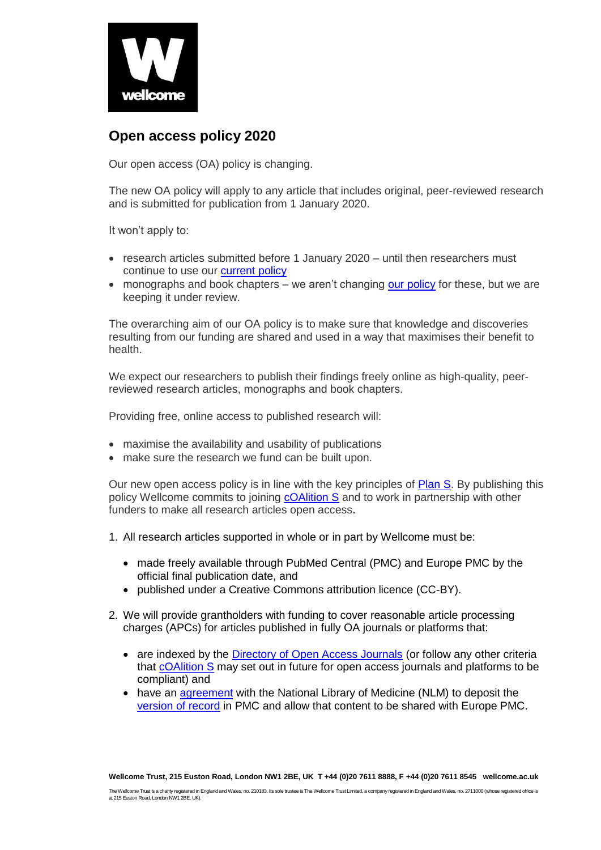

## **Open access policy 2020**

Our open access (OA) policy is changing.

The new OA policy will apply to any article that includes original, peer-reviewed research and is submitted for publication from 1 January 2020.

It won't apply to:

- research articles submitted before 1 January 2020 until then researchers must continue to use our [current policy](https://wellcome.ac.uk/funding/guidance/open-access-policy)
- monographs and book chapters we aren't changing [our policy](https://wellcome.ac.uk/funding/guidance/complying-our-open-access-policy) for these, but we are keeping it under review.

The overarching aim of our OA policy is to make sure that knowledge and discoveries resulting from our funding are shared and used in a way that maximises their benefit to health.

We expect our researchers to publish their findings freely online as high-quality, peerreviewed research articles, monographs and book chapters.

Providing free, online access to published research will:

- maximise the availability and usability of publications
- make sure the research we fund can be built upon.

Our new open access policy is in line with the key principles of [Plan S.](https://www.scienceeurope.org/wp-content/uploads/2018/09/Plan_S.pdf) By publishing this policy Wellcome commits to joining [cOAlition S](https://www.scienceeurope.org/coalition-s/) and to work in partnership with other funders to make all research articles open access.

- 1. All research articles supported in whole or in part by Wellcome must be:
	- made freely available through PubMed Central (PMC) and Europe PMC by the official final publication date, and
	- published under a Creative Commons attribution licence (CC-BY).
- 2. We will provide grantholders with funding to cover reasonable article processing charges (APCs) for articles published in fully OA journals or platforms that:
	- are indexed by the [Directory of Open Access Journals](https://doaj.org/) (or follow any other criteria that [cOAlition S](https://www.scienceeurope.org/coalition-s/) may set out in future for open access journals and platforms to be compliant) and
	- have an [agreement](https://www.ncbi.nlm.nih.gov/pmc/pub/agreements/) with the National Library of Medicine (NLM) to deposit the [version of record](https://www.niso.org/sites/default/files/2017-08/RP-8-2008.pdf) in PMC and allow that content to be shared with Europe PMC.